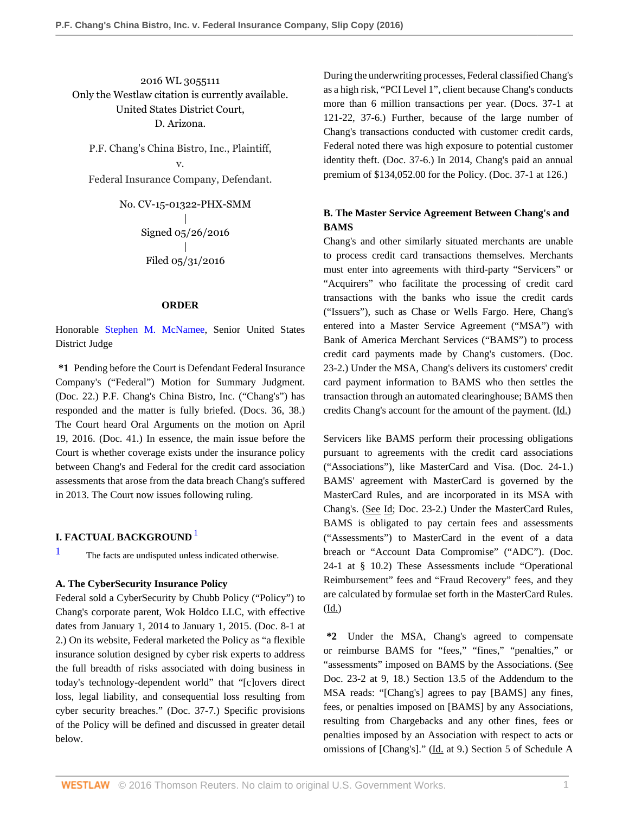2016 WL 3055111 Only the Westlaw citation is currently available. United States District Court, D. Arizona.

P.F. Chang's China Bistro, Inc., Plaintiff, v. Federal Insurance Company, Defendant.

> No. CV-15-01322-PHX-SMM | Signed 05/26/2016 | Filed 05/31/2016

#### **ORDER**

Honorable [Stephen M. McNamee](http://www.westlaw.com/Link/Document/FullText?findType=h&pubNum=176284&cite=0196707101&originatingDoc=Ied4309a027bb11e687dda03c2315206d&refType=RQ&originationContext=document&vr=3.0&rs=cblt1.0&transitionType=DocumentItem&contextData=(sc.History*oc.Search)), Senior United States District Judge

**\*1** Pending before the Court is Defendant Federal Insurance Company's ("Federal") Motion for Summary Judgment. (Doc. 22.) P.F. Chang's China Bistro, Inc. ("Chang's") has responded and the matter is fully briefed. (Docs. 36, 38.) The Court heard Oral Arguments on the motion on April 19, 2016. (Doc. 41.) In essence, the main issue before the Court is whether coverage exists under the insurance policy between Chang's and Federal for the credit card association assessments that arose from the data breach Chang's suffered in 2013. The Court now issues following ruling.

# <span id="page-0-1"></span>**I. FACTUAL BACKGROUND** [1](#page-0-0)

<span id="page-0-0"></span>[1](#page-0-1) The facts are undisputed unless indicated otherwise.

#### **A. The CyberSecurity Insurance Policy**

Federal sold a CyberSecurity by Chubb Policy ("Policy") to Chang's corporate parent, Wok Holdco LLC, with effective dates from January 1, 2014 to January 1, 2015. (Doc. 8-1 at 2.) On its website, Federal marketed the Policy as "a flexible insurance solution designed by cyber risk experts to address the full breadth of risks associated with doing business in today's technology-dependent world" that "[c]overs direct loss, legal liability, and consequential loss resulting from cyber security breaches." (Doc. 37-7.) Specific provisions of the Policy will be defined and discussed in greater detail below.

During the underwriting processes, Federal classified Chang's as a high risk, "PCI Level 1", client because Chang's conducts more than 6 million transactions per year. (Docs. 37-1 at 121-22, 37-6.) Further, because of the large number of Chang's transactions conducted with customer credit cards, Federal noted there was high exposure to potential customer identity theft. (Doc. 37-6.) In 2014, Chang's paid an annual premium of \$134,052.00 for the Policy. (Doc. 37-1 at 126.)

# **B. The Master Service Agreement Between Chang's and BAMS**

Chang's and other similarly situated merchants are unable to process credit card transactions themselves. Merchants must enter into agreements with third-party "Servicers" or "Acquirers" who facilitate the processing of credit card transactions with the banks who issue the credit cards ("Issuers"), such as Chase or Wells Fargo. Here, Chang's entered into a Master Service Agreement ("MSA") with Bank of America Merchant Services ("BAMS") to process credit card payments made by Chang's customers. (Doc. 23-2.) Under the MSA, Chang's delivers its customers' credit card payment information to BAMS who then settles the transaction through an automated clearinghouse; BAMS then credits Chang's account for the amount of the payment. (Id.)

Servicers like BAMS perform their processing obligations pursuant to agreements with the credit card associations ("Associations"), like MasterCard and Visa. (Doc. 24-1.) BAMS' agreement with MasterCard is governed by the MasterCard Rules, and are incorporated in its MSA with Chang's. (See Id; Doc. 23-2.) Under the MasterCard Rules, BAMS is obligated to pay certain fees and assessments ("Assessments") to MasterCard in the event of a data breach or "Account Data Compromise" ("ADC"). (Doc. 24-1 at § 10.2) These Assessments include "Operational Reimbursement" fees and "Fraud Recovery" fees, and they are calculated by formulae set forth in the MasterCard Rules. (Id.)

**\*2** Under the MSA, Chang's agreed to compensate or reimburse BAMS for "fees," "fines," "penalties," or "assessments" imposed on BAMS by the Associations. (See Doc. 23-2 at 9, 18.) Section 13.5 of the Addendum to the MSA reads: "[Chang's] agrees to pay [BAMS] any fines, fees, or penalties imposed on [BAMS] by any Associations, resulting from Chargebacks and any other fines, fees or penalties imposed by an Association with respect to acts or omissions of [Chang's]." (Id. at 9.) Section 5 of Schedule A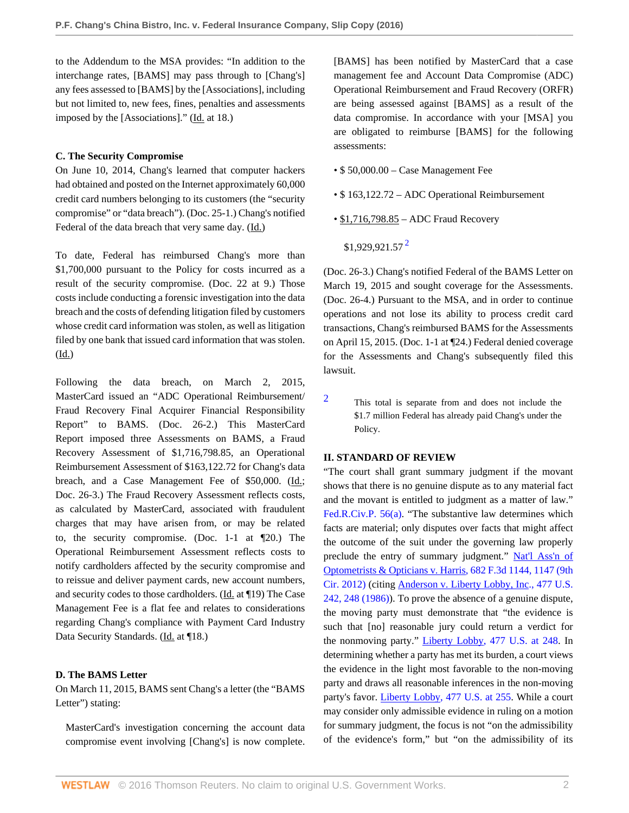to the Addendum to the MSA provides: "In addition to the interchange rates, [BAMS] may pass through to [Chang's] any fees assessed to [BAMS] by the [Associations], including but not limited to, new fees, fines, penalties and assessments imposed by the [Associations]." (Id. at 18.)

#### **C. The Security Compromise**

On June 10, 2014, Chang's learned that computer hackers had obtained and posted on the Internet approximately 60,000 credit card numbers belonging to its customers (the "security compromise" or "data breach"). (Doc. 25-1.) Chang's notified Federal of the data breach that very same day. (Id.)

To date, Federal has reimbursed Chang's more than \$1,700,000 pursuant to the Policy for costs incurred as a result of the security compromise. (Doc. 22 at 9.) Those costs include conducting a forensic investigation into the data breach and the costs of defending litigation filed by customers whose credit card information was stolen, as well as litigation filed by one bank that issued card information that was stolen. (Id.)

Following the data breach, on March 2, 2015, MasterCard issued an "ADC Operational Reimbursement/ Fraud Recovery Final Acquirer Financial Responsibility Report" to BAMS. (Doc. 26-2.) This MasterCard Report imposed three Assessments on BAMS, a Fraud Recovery Assessment of \$1,716,798.85, an Operational Reimbursement Assessment of \$163,122.72 for Chang's data breach, and a Case Management Fee of \$50,000. (Id.; Doc. 26-3.) The Fraud Recovery Assessment reflects costs, as calculated by MasterCard, associated with fraudulent charges that may have arisen from, or may be related to, the security compromise. (Doc. 1-1 at ¶20.) The Operational Reimbursement Assessment reflects costs to notify cardholders affected by the security compromise and to reissue and deliver payment cards, new account numbers, and security codes to those cardholders. (Id. at ¶19) The Case Management Fee is a flat fee and relates to considerations regarding Chang's compliance with Payment Card Industry Data Security Standards. (Id. at ¶18.)

## **D. The BAMS Letter**

On March 11, 2015, BAMS sent Chang's a letter (the "BAMS Letter") stating:

MasterCard's investigation concerning the account data compromise event involving [Chang's] is now complete. [BAMS] has been notified by MasterCard that a case management fee and Account Data Compromise (ADC) Operational Reimbursement and Fraud Recovery (ORFR) are being assessed against [BAMS] as a result of the data compromise. In accordance with your [MSA] you are obligated to reimburse [BAMS] for the following assessments:

- \$ 50,000.00 Case Management Fee
- \$ 163,122.72 ADC Operational Reimbursement
- <span id="page-1-1"></span>• \$1,716,798.85 – ADC Fraud Recovery
	- $$1,929,921.57<sup>2</sup>$  $$1,929,921.57<sup>2</sup>$  $$1,929,921.57<sup>2</sup>$

(Doc. 26-3.) Chang's notified Federal of the BAMS Letter on March 19, 2015 and sought coverage for the Assessments. (Doc. 26-4.) Pursuant to the MSA, and in order to continue operations and not lose its ability to process credit card transactions, Chang's reimbursed BAMS for the Assessments on April 15, 2015. (Doc. 1-1 at ¶24.) Federal denied coverage for the Assessments and Chang's subsequently filed this lawsuit.

<span id="page-1-0"></span>[2](#page-1-1) This total is separate from and does not include the \$1.7 million Federal has already paid Chang's under the Policy.

## **II. STANDARD OF REVIEW**

"The court shall grant summary judgment if the movant shows that there is no genuine dispute as to any material fact and the movant is entitled to judgment as a matter of law." [Fed.R.Civ.P. 56\(a\)](http://www.westlaw.com/Link/Document/FullText?findType=L&pubNum=1000600&cite=USFRCPR56&originatingDoc=Ied4309a027bb11e687dda03c2315206d&refType=LQ&originationContext=document&vr=3.0&rs=cblt1.0&transitionType=DocumentItem&contextData=(sc.History*oc.Search)). "The substantive law determines which facts are material; only disputes over facts that might affect the outcome of the suit under the governing law properly preclude the entry of summary judgment." [Nat'l Ass'n of](http://www.westlaw.com/Link/Document/FullText?findType=Y&serNum=2027892757&pubNum=0000506&originatingDoc=Ied4309a027bb11e687dda03c2315206d&refType=RP&fi=co_pp_sp_506_1147&originationContext=document&vr=3.0&rs=cblt1.0&transitionType=DocumentItem&contextData=(sc.History*oc.Search)#co_pp_sp_506_1147) [Optometrists & Opticians v. Harris, 682 F.3d 1144, 1147 \(9th](http://www.westlaw.com/Link/Document/FullText?findType=Y&serNum=2027892757&pubNum=0000506&originatingDoc=Ied4309a027bb11e687dda03c2315206d&refType=RP&fi=co_pp_sp_506_1147&originationContext=document&vr=3.0&rs=cblt1.0&transitionType=DocumentItem&contextData=(sc.History*oc.Search)#co_pp_sp_506_1147) [Cir. 2012\)](http://www.westlaw.com/Link/Document/FullText?findType=Y&serNum=2027892757&pubNum=0000506&originatingDoc=Ied4309a027bb11e687dda03c2315206d&refType=RP&fi=co_pp_sp_506_1147&originationContext=document&vr=3.0&rs=cblt1.0&transitionType=DocumentItem&contextData=(sc.History*oc.Search)#co_pp_sp_506_1147) (citing [Anderson v. Liberty Lobby, Inc., 477 U.S.](http://www.westlaw.com/Link/Document/FullText?findType=Y&serNum=1986132674&pubNum=0000780&originatingDoc=Ied4309a027bb11e687dda03c2315206d&refType=RP&fi=co_pp_sp_780_248&originationContext=document&vr=3.0&rs=cblt1.0&transitionType=DocumentItem&contextData=(sc.History*oc.Search)#co_pp_sp_780_248) [242, 248 \(1986\)](http://www.westlaw.com/Link/Document/FullText?findType=Y&serNum=1986132674&pubNum=0000780&originatingDoc=Ied4309a027bb11e687dda03c2315206d&refType=RP&fi=co_pp_sp_780_248&originationContext=document&vr=3.0&rs=cblt1.0&transitionType=DocumentItem&contextData=(sc.History*oc.Search)#co_pp_sp_780_248)). To prove the absence of a genuine dispute, the moving party must demonstrate that "the evidence is such that [no] reasonable jury could return a verdict for the nonmoving party." [Liberty Lobby, 477 U.S. at 248](http://www.westlaw.com/Link/Document/FullText?findType=Y&serNum=1986132674&pubNum=0000780&originatingDoc=Ied4309a027bb11e687dda03c2315206d&refType=RP&fi=co_pp_sp_780_248&originationContext=document&vr=3.0&rs=cblt1.0&transitionType=DocumentItem&contextData=(sc.History*oc.Search)#co_pp_sp_780_248). In determining whether a party has met its burden, a court views the evidence in the light most favorable to the non-moving party and draws all reasonable inferences in the non-moving party's favor. [Liberty Lobby, 477 U.S. at 255.](http://www.westlaw.com/Link/Document/FullText?findType=Y&serNum=1986132674&pubNum=0000780&originatingDoc=Ied4309a027bb11e687dda03c2315206d&refType=RP&fi=co_pp_sp_780_255&originationContext=document&vr=3.0&rs=cblt1.0&transitionType=DocumentItem&contextData=(sc.History*oc.Search)#co_pp_sp_780_255) While a court may consider only admissible evidence in ruling on a motion for summary judgment, the focus is not "on the admissibility of the evidence's form," but "on the admissibility of its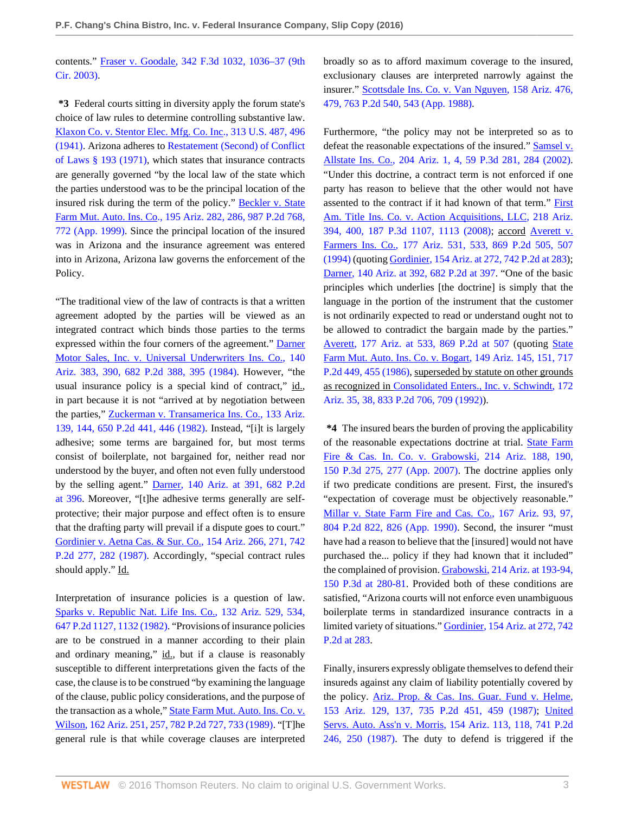contents." [Fraser v. Goodale, 342 F.3d 1032, 1036–37 \(9th](http://www.westlaw.com/Link/Document/FullText?findType=Y&serNum=2003612185&pubNum=0000506&originatingDoc=Ied4309a027bb11e687dda03c2315206d&refType=RP&fi=co_pp_sp_506_1036&originationContext=document&vr=3.0&rs=cblt1.0&transitionType=DocumentItem&contextData=(sc.History*oc.Search)#co_pp_sp_506_1036) [Cir. 2003\)](http://www.westlaw.com/Link/Document/FullText?findType=Y&serNum=2003612185&pubNum=0000506&originatingDoc=Ied4309a027bb11e687dda03c2315206d&refType=RP&fi=co_pp_sp_506_1036&originationContext=document&vr=3.0&rs=cblt1.0&transitionType=DocumentItem&contextData=(sc.History*oc.Search)#co_pp_sp_506_1036).

**\*3** Federal courts sitting in diversity apply the forum state's choice of law rules to determine controlling substantive law. [Klaxon Co. v. Stentor Elec. Mfg. Co. Inc., 313 U.S. 487, 496](http://www.westlaw.com/Link/Document/FullText?findType=Y&serNum=1941124504&pubNum=0000780&originatingDoc=Ied4309a027bb11e687dda03c2315206d&refType=RP&fi=co_pp_sp_780_496&originationContext=document&vr=3.0&rs=cblt1.0&transitionType=DocumentItem&contextData=(sc.History*oc.Search)#co_pp_sp_780_496) [\(1941\).](http://www.westlaw.com/Link/Document/FullText?findType=Y&serNum=1941124504&pubNum=0000780&originatingDoc=Ied4309a027bb11e687dda03c2315206d&refType=RP&fi=co_pp_sp_780_496&originationContext=document&vr=3.0&rs=cblt1.0&transitionType=DocumentItem&contextData=(sc.History*oc.Search)#co_pp_sp_780_496) Arizona adheres to [Restatement \(Second\) of Conflict](http://www.westlaw.com/Link/Document/FullText?findType=Y&serNum=0289353619&pubNum=0101576&originatingDoc=Ied4309a027bb11e687dda03c2315206d&refType=TS&originationContext=document&vr=3.0&rs=cblt1.0&transitionType=DocumentItem&contextData=(sc.History*oc.Search)) [of Laws § 193 \(1971\),](http://www.westlaw.com/Link/Document/FullText?findType=Y&serNum=0289353619&pubNum=0101576&originatingDoc=Ied4309a027bb11e687dda03c2315206d&refType=TS&originationContext=document&vr=3.0&rs=cblt1.0&transitionType=DocumentItem&contextData=(sc.History*oc.Search)) which states that insurance contracts are generally governed "by the local law of the state which the parties understood was to be the principal location of the insured risk during the term of the policy." [Beckler v. State](http://www.westlaw.com/Link/Document/FullText?findType=Y&serNum=1999109722&pubNum=0000661&originatingDoc=Ied4309a027bb11e687dda03c2315206d&refType=RP&fi=co_pp_sp_661_772&originationContext=document&vr=3.0&rs=cblt1.0&transitionType=DocumentItem&contextData=(sc.History*oc.Search)#co_pp_sp_661_772) [Farm Mut. Auto. Ins. Co., 195 Ariz. 282, 286, 987 P.2d 768,](http://www.westlaw.com/Link/Document/FullText?findType=Y&serNum=1999109722&pubNum=0000661&originatingDoc=Ied4309a027bb11e687dda03c2315206d&refType=RP&fi=co_pp_sp_661_772&originationContext=document&vr=3.0&rs=cblt1.0&transitionType=DocumentItem&contextData=(sc.History*oc.Search)#co_pp_sp_661_772) [772 \(App. 1999\)](http://www.westlaw.com/Link/Document/FullText?findType=Y&serNum=1999109722&pubNum=0000661&originatingDoc=Ied4309a027bb11e687dda03c2315206d&refType=RP&fi=co_pp_sp_661_772&originationContext=document&vr=3.0&rs=cblt1.0&transitionType=DocumentItem&contextData=(sc.History*oc.Search)#co_pp_sp_661_772). Since the principal location of the insured was in Arizona and the insurance agreement was entered into in Arizona, Arizona law governs the enforcement of the Policy.

"The traditional view of the law of contracts is that a written agreement adopted by the parties will be viewed as an integrated contract which binds those parties to the terms expressed within the four corners of the agreement." [Darner](http://www.westlaw.com/Link/Document/FullText?findType=Y&serNum=1984125781&pubNum=0000661&originatingDoc=Ied4309a027bb11e687dda03c2315206d&refType=RP&fi=co_pp_sp_661_395&originationContext=document&vr=3.0&rs=cblt1.0&transitionType=DocumentItem&contextData=(sc.History*oc.Search)#co_pp_sp_661_395) [Motor Sales, Inc. v. Universal Underwriters Ins. Co., 140](http://www.westlaw.com/Link/Document/FullText?findType=Y&serNum=1984125781&pubNum=0000661&originatingDoc=Ied4309a027bb11e687dda03c2315206d&refType=RP&fi=co_pp_sp_661_395&originationContext=document&vr=3.0&rs=cblt1.0&transitionType=DocumentItem&contextData=(sc.History*oc.Search)#co_pp_sp_661_395) [Ariz. 383, 390, 682 P.2d 388, 395 \(1984\)](http://www.westlaw.com/Link/Document/FullText?findType=Y&serNum=1984125781&pubNum=0000661&originatingDoc=Ied4309a027bb11e687dda03c2315206d&refType=RP&fi=co_pp_sp_661_395&originationContext=document&vr=3.0&rs=cblt1.0&transitionType=DocumentItem&contextData=(sc.History*oc.Search)#co_pp_sp_661_395). However, "the usual insurance policy is a special kind of contract," id., in part because it is not "arrived at by negotiation between the parties," [Zuckerman v. Transamerica Ins. Co., 133 Ariz.](http://www.westlaw.com/Link/Document/FullText?findType=Y&serNum=1982140760&pubNum=0000661&originatingDoc=Ied4309a027bb11e687dda03c2315206d&refType=RP&fi=co_pp_sp_661_446&originationContext=document&vr=3.0&rs=cblt1.0&transitionType=DocumentItem&contextData=(sc.History*oc.Search)#co_pp_sp_661_446) [139, 144, 650 P.2d 441, 446 \(1982\).](http://www.westlaw.com/Link/Document/FullText?findType=Y&serNum=1982140760&pubNum=0000661&originatingDoc=Ied4309a027bb11e687dda03c2315206d&refType=RP&fi=co_pp_sp_661_446&originationContext=document&vr=3.0&rs=cblt1.0&transitionType=DocumentItem&contextData=(sc.History*oc.Search)#co_pp_sp_661_446) Instead, "[i]t is largely adhesive; some terms are bargained for, but most terms consist of boilerplate, not bargained for, neither read nor understood by the buyer, and often not even fully understood by the selling agent." [Darner, 140 Ariz. at 391, 682 P.2d](http://www.westlaw.com/Link/Document/FullText?findType=Y&serNum=1984125781&pubNum=0000661&originatingDoc=Ied4309a027bb11e687dda03c2315206d&refType=RP&fi=co_pp_sp_661_396&originationContext=document&vr=3.0&rs=cblt1.0&transitionType=DocumentItem&contextData=(sc.History*oc.Search)#co_pp_sp_661_396) [at 396.](http://www.westlaw.com/Link/Document/FullText?findType=Y&serNum=1984125781&pubNum=0000661&originatingDoc=Ied4309a027bb11e687dda03c2315206d&refType=RP&fi=co_pp_sp_661_396&originationContext=document&vr=3.0&rs=cblt1.0&transitionType=DocumentItem&contextData=(sc.History*oc.Search)#co_pp_sp_661_396) Moreover, "[t]he adhesive terms generally are selfprotective; their major purpose and effect often is to ensure that the drafting party will prevail if a dispute goes to court." [Gordinier v. Aetna Cas. & Sur. Co., 154 Ariz. 266, 271, 742](http://www.westlaw.com/Link/Document/FullText?findType=Y&serNum=1987095295&pubNum=0000661&originatingDoc=Ied4309a027bb11e687dda03c2315206d&refType=RP&fi=co_pp_sp_661_282&originationContext=document&vr=3.0&rs=cblt1.0&transitionType=DocumentItem&contextData=(sc.History*oc.Search)#co_pp_sp_661_282) [P.2d 277, 282 \(1987\).](http://www.westlaw.com/Link/Document/FullText?findType=Y&serNum=1987095295&pubNum=0000661&originatingDoc=Ied4309a027bb11e687dda03c2315206d&refType=RP&fi=co_pp_sp_661_282&originationContext=document&vr=3.0&rs=cblt1.0&transitionType=DocumentItem&contextData=(sc.History*oc.Search)#co_pp_sp_661_282) Accordingly, "special contract rules should apply." Id.

Interpretation of insurance policies is a question of law. [Sparks v. Republic Nat. Life Ins. Co., 132 Ariz. 529, 534,](http://www.westlaw.com/Link/Document/FullText?findType=Y&serNum=1982132350&pubNum=0000661&originatingDoc=Ied4309a027bb11e687dda03c2315206d&refType=RP&fi=co_pp_sp_661_1132&originationContext=document&vr=3.0&rs=cblt1.0&transitionType=DocumentItem&contextData=(sc.History*oc.Search)#co_pp_sp_661_1132) [647 P.2d 1127, 1132 \(1982\)](http://www.westlaw.com/Link/Document/FullText?findType=Y&serNum=1982132350&pubNum=0000661&originatingDoc=Ied4309a027bb11e687dda03c2315206d&refType=RP&fi=co_pp_sp_661_1132&originationContext=document&vr=3.0&rs=cblt1.0&transitionType=DocumentItem&contextData=(sc.History*oc.Search)#co_pp_sp_661_1132). "Provisions of insurance policies are to be construed in a manner according to their plain and ordinary meaning," id., but if a clause is reasonably susceptible to different interpretations given the facts of the case, the clause is to be construed "by examining the language of the clause, public policy considerations, and the purpose of the transaction as a whole," [State Farm Mut. Auto. Ins. Co. v.](http://www.westlaw.com/Link/Document/FullText?findType=Y&serNum=1989148359&pubNum=0000661&originatingDoc=Ied4309a027bb11e687dda03c2315206d&refType=RP&fi=co_pp_sp_661_733&originationContext=document&vr=3.0&rs=cblt1.0&transitionType=DocumentItem&contextData=(sc.History*oc.Search)#co_pp_sp_661_733) [Wilson, 162 Ariz. 251, 257, 782 P.2d 727, 733 \(1989\).](http://www.westlaw.com/Link/Document/FullText?findType=Y&serNum=1989148359&pubNum=0000661&originatingDoc=Ied4309a027bb11e687dda03c2315206d&refType=RP&fi=co_pp_sp_661_733&originationContext=document&vr=3.0&rs=cblt1.0&transitionType=DocumentItem&contextData=(sc.History*oc.Search)#co_pp_sp_661_733) "[T]he general rule is that while coverage clauses are interpreted broadly so as to afford maximum coverage to the insured, exclusionary clauses are interpreted narrowly against the insurer." [Scottsdale Ins. Co. v. Van Nguyen, 158 Ariz. 476,](http://www.westlaw.com/Link/Document/FullText?findType=Y&serNum=1988087238&pubNum=0000661&originatingDoc=Ied4309a027bb11e687dda03c2315206d&refType=RP&fi=co_pp_sp_661_543&originationContext=document&vr=3.0&rs=cblt1.0&transitionType=DocumentItem&contextData=(sc.History*oc.Search)#co_pp_sp_661_543) [479, 763 P.2d 540, 543 \(App. 1988\)](http://www.westlaw.com/Link/Document/FullText?findType=Y&serNum=1988087238&pubNum=0000661&originatingDoc=Ied4309a027bb11e687dda03c2315206d&refType=RP&fi=co_pp_sp_661_543&originationContext=document&vr=3.0&rs=cblt1.0&transitionType=DocumentItem&contextData=(sc.History*oc.Search)#co_pp_sp_661_543).

Furthermore, "the policy may not be interpreted so as to defeat the reasonable expectations of the insured." [Samsel v.](http://www.westlaw.com/Link/Document/FullText?findType=Y&serNum=2002777561&pubNum=0004645&originatingDoc=Ied4309a027bb11e687dda03c2315206d&refType=RP&fi=co_pp_sp_4645_284&originationContext=document&vr=3.0&rs=cblt1.0&transitionType=DocumentItem&contextData=(sc.History*oc.Search)#co_pp_sp_4645_284) [Allstate Ins. Co., 204 Ariz. 1, 4, 59 P.3d 281, 284 \(2002\)](http://www.westlaw.com/Link/Document/FullText?findType=Y&serNum=2002777561&pubNum=0004645&originatingDoc=Ied4309a027bb11e687dda03c2315206d&refType=RP&fi=co_pp_sp_4645_284&originationContext=document&vr=3.0&rs=cblt1.0&transitionType=DocumentItem&contextData=(sc.History*oc.Search)#co_pp_sp_4645_284). "Under this doctrine, a contract term is not enforced if one party has reason to believe that the other would not have assented to the contract if it had known of that term." [First](http://www.westlaw.com/Link/Document/FullText?findType=Y&serNum=2016612256&pubNum=0004645&originatingDoc=Ied4309a027bb11e687dda03c2315206d&refType=RP&fi=co_pp_sp_4645_1113&originationContext=document&vr=3.0&rs=cblt1.0&transitionType=DocumentItem&contextData=(sc.History*oc.Search)#co_pp_sp_4645_1113) [Am. Title Ins. Co. v. Action Acquisitions, LLC, 218 Ariz.](http://www.westlaw.com/Link/Document/FullText?findType=Y&serNum=2016612256&pubNum=0004645&originatingDoc=Ied4309a027bb11e687dda03c2315206d&refType=RP&fi=co_pp_sp_4645_1113&originationContext=document&vr=3.0&rs=cblt1.0&transitionType=DocumentItem&contextData=(sc.History*oc.Search)#co_pp_sp_4645_1113) [394, 400, 187 P.3d 1107, 1113 \(2008\)](http://www.westlaw.com/Link/Document/FullText?findType=Y&serNum=2016612256&pubNum=0004645&originatingDoc=Ied4309a027bb11e687dda03c2315206d&refType=RP&fi=co_pp_sp_4645_1113&originationContext=document&vr=3.0&rs=cblt1.0&transitionType=DocumentItem&contextData=(sc.History*oc.Search)#co_pp_sp_4645_1113); accord [Averett v.](http://www.westlaw.com/Link/Document/FullText?findType=Y&serNum=1994058110&pubNum=0000661&originatingDoc=Ied4309a027bb11e687dda03c2315206d&refType=RP&fi=co_pp_sp_661_507&originationContext=document&vr=3.0&rs=cblt1.0&transitionType=DocumentItem&contextData=(sc.History*oc.Search)#co_pp_sp_661_507) [Farmers Ins. Co., 177 Ariz. 531, 533, 869 P.2d 505, 507](http://www.westlaw.com/Link/Document/FullText?findType=Y&serNum=1994058110&pubNum=0000661&originatingDoc=Ied4309a027bb11e687dda03c2315206d&refType=RP&fi=co_pp_sp_661_507&originationContext=document&vr=3.0&rs=cblt1.0&transitionType=DocumentItem&contextData=(sc.History*oc.Search)#co_pp_sp_661_507) [\(1994\)](http://www.westlaw.com/Link/Document/FullText?findType=Y&serNum=1994058110&pubNum=0000661&originatingDoc=Ied4309a027bb11e687dda03c2315206d&refType=RP&fi=co_pp_sp_661_507&originationContext=document&vr=3.0&rs=cblt1.0&transitionType=DocumentItem&contextData=(sc.History*oc.Search)#co_pp_sp_661_507) (quoting [Gordinier, 154 Ariz. at 272, 742 P.2d at 283\)](http://www.westlaw.com/Link/Document/FullText?findType=Y&serNum=1987095295&pubNum=0000661&originatingDoc=Ied4309a027bb11e687dda03c2315206d&refType=RP&fi=co_pp_sp_661_283&originationContext=document&vr=3.0&rs=cblt1.0&transitionType=DocumentItem&contextData=(sc.History*oc.Search)#co_pp_sp_661_283); [Darner, 140 Ariz. at 392, 682 P.2d at 397](http://www.westlaw.com/Link/Document/FullText?findType=Y&serNum=1984125781&pubNum=0000661&originatingDoc=Ied4309a027bb11e687dda03c2315206d&refType=RP&fi=co_pp_sp_661_397&originationContext=document&vr=3.0&rs=cblt1.0&transitionType=DocumentItem&contextData=(sc.History*oc.Search)#co_pp_sp_661_397). "One of the basic principles which underlies [the doctrine] is simply that the language in the portion of the instrument that the customer is not ordinarily expected to read or understand ought not to be allowed to contradict the bargain made by the parties." [Averett, 177 Ariz. at 533, 869 P.2d at 507](http://www.westlaw.com/Link/Document/FullText?findType=Y&serNum=1994058110&pubNum=0000661&originatingDoc=Ied4309a027bb11e687dda03c2315206d&refType=RP&fi=co_pp_sp_661_507&originationContext=document&vr=3.0&rs=cblt1.0&transitionType=DocumentItem&contextData=(sc.History*oc.Search)#co_pp_sp_661_507) (quoting [State](http://www.westlaw.com/Link/Document/FullText?findType=Y&serNum=1986116290&pubNum=0000661&originatingDoc=Ied4309a027bb11e687dda03c2315206d&refType=RP&fi=co_pp_sp_661_455&originationContext=document&vr=3.0&rs=cblt1.0&transitionType=DocumentItem&contextData=(sc.History*oc.Search)#co_pp_sp_661_455) [Farm Mut. Auto. Ins. Co. v. Bogart, 149 Ariz. 145, 151, 717](http://www.westlaw.com/Link/Document/FullText?findType=Y&serNum=1986116290&pubNum=0000661&originatingDoc=Ied4309a027bb11e687dda03c2315206d&refType=RP&fi=co_pp_sp_661_455&originationContext=document&vr=3.0&rs=cblt1.0&transitionType=DocumentItem&contextData=(sc.History*oc.Search)#co_pp_sp_661_455) [P.2d 449, 455 \(1986\),](http://www.westlaw.com/Link/Document/FullText?findType=Y&serNum=1986116290&pubNum=0000661&originatingDoc=Ied4309a027bb11e687dda03c2315206d&refType=RP&fi=co_pp_sp_661_455&originationContext=document&vr=3.0&rs=cblt1.0&transitionType=DocumentItem&contextData=(sc.History*oc.Search)#co_pp_sp_661_455) superseded by statute on other grounds as recognized in [Consolidated Enters., Inc. v. Schwindt, 172](http://www.westlaw.com/Link/Document/FullText?findType=Y&serNum=1992128712&pubNum=0000661&originatingDoc=Ied4309a027bb11e687dda03c2315206d&refType=RP&fi=co_pp_sp_661_709&originationContext=document&vr=3.0&rs=cblt1.0&transitionType=DocumentItem&contextData=(sc.History*oc.Search)#co_pp_sp_661_709) [Ariz. 35, 38, 833 P.2d 706, 709 \(1992\)\)](http://www.westlaw.com/Link/Document/FullText?findType=Y&serNum=1992128712&pubNum=0000661&originatingDoc=Ied4309a027bb11e687dda03c2315206d&refType=RP&fi=co_pp_sp_661_709&originationContext=document&vr=3.0&rs=cblt1.0&transitionType=DocumentItem&contextData=(sc.History*oc.Search)#co_pp_sp_661_709).

**\*4** The insured bears the burden of proving the applicability of the reasonable expectations doctrine at trial. [State Farm](http://www.westlaw.com/Link/Document/FullText?findType=Y&serNum=2011340583&pubNum=0004645&originatingDoc=Ied4309a027bb11e687dda03c2315206d&refType=RP&fi=co_pp_sp_4645_277&originationContext=document&vr=3.0&rs=cblt1.0&transitionType=DocumentItem&contextData=(sc.History*oc.Search)#co_pp_sp_4645_277) [Fire & Cas. In. Co. v. Grabowski, 214 Ariz. 188, 190,](http://www.westlaw.com/Link/Document/FullText?findType=Y&serNum=2011340583&pubNum=0004645&originatingDoc=Ied4309a027bb11e687dda03c2315206d&refType=RP&fi=co_pp_sp_4645_277&originationContext=document&vr=3.0&rs=cblt1.0&transitionType=DocumentItem&contextData=(sc.History*oc.Search)#co_pp_sp_4645_277) [150 P.3d 275, 277 \(App. 2007\).](http://www.westlaw.com/Link/Document/FullText?findType=Y&serNum=2011340583&pubNum=0004645&originatingDoc=Ied4309a027bb11e687dda03c2315206d&refType=RP&fi=co_pp_sp_4645_277&originationContext=document&vr=3.0&rs=cblt1.0&transitionType=DocumentItem&contextData=(sc.History*oc.Search)#co_pp_sp_4645_277) The doctrine applies only if two predicate conditions are present. First, the insured's "expectation of coverage must be objectively reasonable." [Millar v. State Farm Fire and Cas. Co., 167 Ariz. 93, 97,](http://www.westlaw.com/Link/Document/FullText?findType=Y&serNum=1990140025&pubNum=0000661&originatingDoc=Ied4309a027bb11e687dda03c2315206d&refType=RP&fi=co_pp_sp_661_826&originationContext=document&vr=3.0&rs=cblt1.0&transitionType=DocumentItem&contextData=(sc.History*oc.Search)#co_pp_sp_661_826) [804 P.2d 822, 826 \(App. 1990\)](http://www.westlaw.com/Link/Document/FullText?findType=Y&serNum=1990140025&pubNum=0000661&originatingDoc=Ied4309a027bb11e687dda03c2315206d&refType=RP&fi=co_pp_sp_661_826&originationContext=document&vr=3.0&rs=cblt1.0&transitionType=DocumentItem&contextData=(sc.History*oc.Search)#co_pp_sp_661_826). Second, the insurer "must have had a reason to believe that the [insured] would not have purchased the... policy if they had known that it included" the complained of provision. [Grabowski, 214 Ariz. at 193-94,](http://www.westlaw.com/Link/Document/FullText?findType=Y&serNum=2011340583&pubNum=0004645&originatingDoc=Ied4309a027bb11e687dda03c2315206d&refType=RP&fi=co_pp_sp_4645_280&originationContext=document&vr=3.0&rs=cblt1.0&transitionType=DocumentItem&contextData=(sc.History*oc.Search)#co_pp_sp_4645_280) [150 P.3d at 280-81](http://www.westlaw.com/Link/Document/FullText?findType=Y&serNum=2011340583&pubNum=0004645&originatingDoc=Ied4309a027bb11e687dda03c2315206d&refType=RP&fi=co_pp_sp_4645_280&originationContext=document&vr=3.0&rs=cblt1.0&transitionType=DocumentItem&contextData=(sc.History*oc.Search)#co_pp_sp_4645_280). Provided both of these conditions are satisfied, "Arizona courts will not enforce even unambiguous boilerplate terms in standardized insurance contracts in a limited variety of situations." [Gordinier, 154 Ariz. at 272, 742](http://www.westlaw.com/Link/Document/FullText?findType=Y&serNum=1987095295&pubNum=0000661&originatingDoc=Ied4309a027bb11e687dda03c2315206d&refType=RP&fi=co_pp_sp_661_283&originationContext=document&vr=3.0&rs=cblt1.0&transitionType=DocumentItem&contextData=(sc.History*oc.Search)#co_pp_sp_661_283) [P.2d at 283](http://www.westlaw.com/Link/Document/FullText?findType=Y&serNum=1987095295&pubNum=0000661&originatingDoc=Ied4309a027bb11e687dda03c2315206d&refType=RP&fi=co_pp_sp_661_283&originationContext=document&vr=3.0&rs=cblt1.0&transitionType=DocumentItem&contextData=(sc.History*oc.Search)#co_pp_sp_661_283).

Finally, insurers expressly obligate themselves to defend their insureds against any claim of liability potentially covered by the policy. [Ariz. Prop. & Cas. Ins. Guar. Fund v. Helme,](http://www.westlaw.com/Link/Document/FullText?findType=Y&serNum=1987039456&pubNum=0000661&originatingDoc=Ied4309a027bb11e687dda03c2315206d&refType=RP&fi=co_pp_sp_661_459&originationContext=document&vr=3.0&rs=cblt1.0&transitionType=DocumentItem&contextData=(sc.History*oc.Search)#co_pp_sp_661_459) [153 Ariz. 129, 137, 735 P.2d 451, 459 \(1987\)](http://www.westlaw.com/Link/Document/FullText?findType=Y&serNum=1987039456&pubNum=0000661&originatingDoc=Ied4309a027bb11e687dda03c2315206d&refType=RP&fi=co_pp_sp_661_459&originationContext=document&vr=3.0&rs=cblt1.0&transitionType=DocumentItem&contextData=(sc.History*oc.Search)#co_pp_sp_661_459); [United](http://www.westlaw.com/Link/Document/FullText?findType=Y&serNum=1987077267&pubNum=0000661&originatingDoc=Ied4309a027bb11e687dda03c2315206d&refType=RP&fi=co_pp_sp_661_250&originationContext=document&vr=3.0&rs=cblt1.0&transitionType=DocumentItem&contextData=(sc.History*oc.Search)#co_pp_sp_661_250) [Servs. Auto. Ass'n v. Morris, 154 Ariz. 113, 118, 741 P.2d](http://www.westlaw.com/Link/Document/FullText?findType=Y&serNum=1987077267&pubNum=0000661&originatingDoc=Ied4309a027bb11e687dda03c2315206d&refType=RP&fi=co_pp_sp_661_250&originationContext=document&vr=3.0&rs=cblt1.0&transitionType=DocumentItem&contextData=(sc.History*oc.Search)#co_pp_sp_661_250) [246, 250 \(1987\).](http://www.westlaw.com/Link/Document/FullText?findType=Y&serNum=1987077267&pubNum=0000661&originatingDoc=Ied4309a027bb11e687dda03c2315206d&refType=RP&fi=co_pp_sp_661_250&originationContext=document&vr=3.0&rs=cblt1.0&transitionType=DocumentItem&contextData=(sc.History*oc.Search)#co_pp_sp_661_250) The duty to defend is triggered if the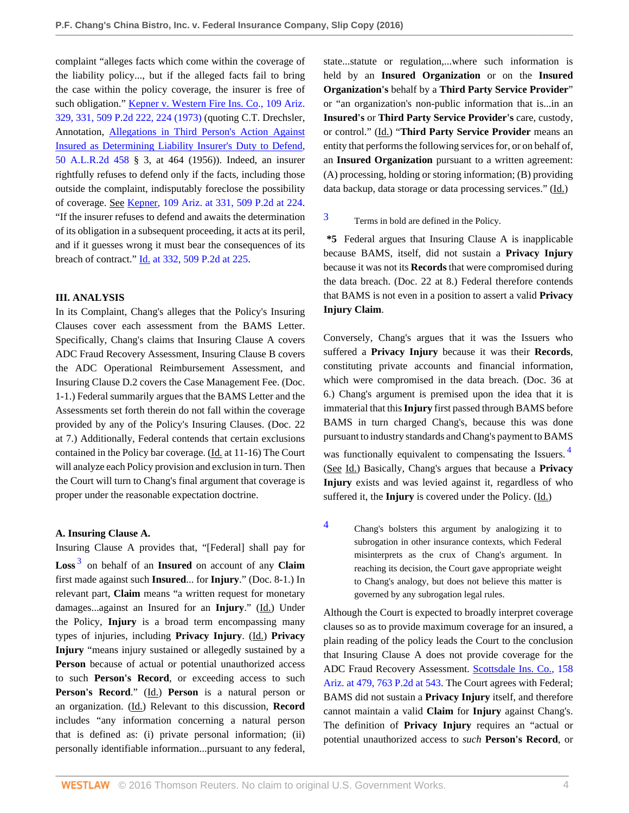complaint "alleges facts which come within the coverage of the liability policy..., but if the alleged facts fail to bring the case within the policy coverage, the insurer is free of such obligation." [Kepner v. Western Fire Ins. Co., 109 Ariz.](http://www.westlaw.com/Link/Document/FullText?findType=Y&serNum=1973123172&pubNum=0000661&originatingDoc=Ied4309a027bb11e687dda03c2315206d&refType=RP&fi=co_pp_sp_661_224&originationContext=document&vr=3.0&rs=cblt1.0&transitionType=DocumentItem&contextData=(sc.History*oc.Search)#co_pp_sp_661_224) [329, 331, 509 P.2d 222, 224 \(1973\)](http://www.westlaw.com/Link/Document/FullText?findType=Y&serNum=1973123172&pubNum=0000661&originatingDoc=Ied4309a027bb11e687dda03c2315206d&refType=RP&fi=co_pp_sp_661_224&originationContext=document&vr=3.0&rs=cblt1.0&transitionType=DocumentItem&contextData=(sc.History*oc.Search)#co_pp_sp_661_224) (quoting C.T. Drechsler, Annotation, [Allegations in Third Person's Action Against](http://www.westlaw.com/Link/Document/FullText?findType=Y&serNum=1956011052&pubNum=0000107&originatingDoc=Ied4309a027bb11e687dda03c2315206d&refType=RP&originationContext=document&vr=3.0&rs=cblt1.0&transitionType=DocumentItem&contextData=(sc.History*oc.Search)) [Insured as Determining Liability Insurer's Duty to Defend,](http://www.westlaw.com/Link/Document/FullText?findType=Y&serNum=1956011052&pubNum=0000107&originatingDoc=Ied4309a027bb11e687dda03c2315206d&refType=RP&originationContext=document&vr=3.0&rs=cblt1.0&transitionType=DocumentItem&contextData=(sc.History*oc.Search)) [50 A.L.R.2d 458](http://www.westlaw.com/Link/Document/FullText?findType=Y&serNum=1956011052&pubNum=0000107&originatingDoc=Ied4309a027bb11e687dda03c2315206d&refType=RP&originationContext=document&vr=3.0&rs=cblt1.0&transitionType=DocumentItem&contextData=(sc.History*oc.Search)) § 3, at 464 (1956)). Indeed, an insurer rightfully refuses to defend only if the facts, including those outside the complaint, indisputably foreclose the possibility of coverage. See [Kepner, 109 Ariz. at 331, 509 P.2d at 224](http://www.westlaw.com/Link/Document/FullText?findType=Y&serNum=1973123172&pubNum=0000661&originatingDoc=Ied4309a027bb11e687dda03c2315206d&refType=RP&fi=co_pp_sp_661_224&originationContext=document&vr=3.0&rs=cblt1.0&transitionType=DocumentItem&contextData=(sc.History*oc.Search)#co_pp_sp_661_224). "If the insurer refuses to defend and awaits the determination of its obligation in a subsequent proceeding, it acts at its peril, and if it guesses wrong it must bear the consequences of its breach of contract." [Id. at 332, 509 P.2d at 225](http://www.westlaw.com/Link/Document/FullText?findType=Y&serNum=1973123172&pubNum=0000661&originatingDoc=Ied4309a027bb11e687dda03c2315206d&refType=RP&fi=co_pp_sp_661_225&originationContext=document&vr=3.0&rs=cblt1.0&transitionType=DocumentItem&contextData=(sc.History*oc.Search)#co_pp_sp_661_225).

#### **III. ANALYSIS**

In its Complaint, Chang's alleges that the Policy's Insuring Clauses cover each assessment from the BAMS Letter. Specifically, Chang's claims that Insuring Clause A covers ADC Fraud Recovery Assessment, Insuring Clause B covers the ADC Operational Reimbursement Assessment, and Insuring Clause D.2 covers the Case Management Fee. (Doc. 1-1.) Federal summarily argues that the BAMS Letter and the Assessments set forth therein do not fall within the coverage provided by any of the Policy's Insuring Clauses. (Doc. 22 at 7.) Additionally, Federal contends that certain exclusions contained in the Policy bar coverage. (Id. at 11-16) The Court will analyze each Policy provision and exclusion in turn. Then the Court will turn to Chang's final argument that coverage is proper under the reasonable expectation doctrine.

#### **A. Insuring Clause A.**

<span id="page-3-1"></span>Insuring Clause A provides that, "[Federal] shall pay for **Loss** [3](#page-3-0) on behalf of an **Insured** on account of any **Claim** first made against such **Insured**... for **Injury**." (Doc. 8-1.) In relevant part, **Claim** means "a written request for monetary damages...against an Insured for an **Injury**." (Id.) Under the Policy, **Injury** is a broad term encompassing many types of injuries, including **Privacy Injury**. (Id.) **Privacy Injury** "means injury sustained or allegedly sustained by a **Person** because of actual or potential unauthorized access to such **Person's Record**, or exceeding access to such **Person's Record**." (Id.) **Person** is a natural person or an organization. (Id.) Relevant to this discussion, **Record** includes "any information concerning a natural person that is defined as: (i) private personal information; (ii) personally identifiable information...pursuant to any federal,

state...statute or regulation,...where such information is held by an **Insured Organization** or on the **Insured Organization's** behalf by a **Third Party Service Provider**" or "an organization's non-public information that is...in an **Insured's** or **Third Party Service Provider's** care, custody, or control." (Id.) "**Third Party Service Provider** means an entity that performs the following services for, or on behalf of, an **Insured Organization** pursuant to a written agreement: (A) processing, holding or storing information; (B) providing data backup, data storage or data processing services." (Id.)

# <span id="page-3-0"></span>[3](#page-3-1) Terms in bold are defined in the Policy.

**\*5** Federal argues that Insuring Clause A is inapplicable because BAMS, itself, did not sustain a **Privacy Injury** because it was not its **Records** that were compromised during the data breach. (Doc. 22 at 8.) Federal therefore contends that BAMS is not even in a position to assert a valid **Privacy Injury Claim**.

Conversely, Chang's argues that it was the Issuers who suffered a **Privacy Injury** because it was their **Records**, constituting private accounts and financial information, which were compromised in the data breach. (Doc. 36 at 6.) Chang's argument is premised upon the idea that it is immaterial that this **Injury** first passed through BAMS before BAMS in turn charged Chang's, because this was done pursuant to industry standards and Chang's payment to BAMS was functionally equivalent to compensating the Issuers.<sup>[4](#page-3-2)</sup> (See Id.) Basically, Chang's argues that because a **Privacy Injury** exists and was levied against it, regardless of who suffered it, the **Injury** is covered under the Policy. (Id.)

<span id="page-3-3"></span><span id="page-3-2"></span>[4](#page-3-3) Chang's bolsters this argument by analogizing it to subrogation in other insurance contexts, which Federal misinterprets as the crux of Chang's argument. In reaching its decision, the Court gave appropriate weight to Chang's analogy, but does not believe this matter is governed by any subrogation legal rules.

Although the Court is expected to broadly interpret coverage clauses so as to provide maximum coverage for an insured, a plain reading of the policy leads the Court to the conclusion that Insuring Clause A does not provide coverage for the ADC Fraud Recovery Assessment. [Scottsdale Ins. Co., 158](http://www.westlaw.com/Link/Document/FullText?findType=Y&serNum=1988087238&pubNum=0000661&originatingDoc=Ied4309a027bb11e687dda03c2315206d&refType=RP&fi=co_pp_sp_661_543&originationContext=document&vr=3.0&rs=cblt1.0&transitionType=DocumentItem&contextData=(sc.History*oc.Search)#co_pp_sp_661_543) [Ariz. at 479, 763 P.2d at 543](http://www.westlaw.com/Link/Document/FullText?findType=Y&serNum=1988087238&pubNum=0000661&originatingDoc=Ied4309a027bb11e687dda03c2315206d&refType=RP&fi=co_pp_sp_661_543&originationContext=document&vr=3.0&rs=cblt1.0&transitionType=DocumentItem&contextData=(sc.History*oc.Search)#co_pp_sp_661_543). The Court agrees with Federal; BAMS did not sustain a **Privacy Injury** itself, and therefore cannot maintain a valid **Claim** for **Injury** against Chang's. The definition of **Privacy Injury** requires an "actual or potential unauthorized access to *such* **Person's Record**, or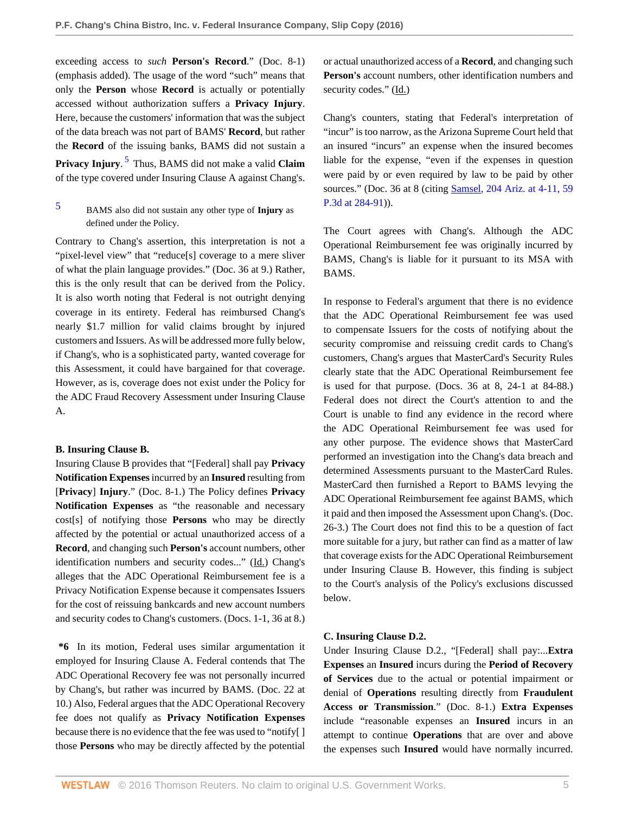exceeding access to *such* **Person's Record**." (Doc. 8-1) (emphasis added). The usage of the word "such" means that only the **Person** whose **Record** is actually or potentially accessed without authorization suffers a **Privacy Injury**. Here, because the customers' information that was the subject of the data breach was not part of BAMS' **Record**, but rather the **Record** of the issuing banks, BAMS did not sustain a **Privacy Injury**. [5](#page-4-0) Thus, BAMS did not make a valid **Claim** of the type covered under Insuring Clause A against Chang's.

Contrary to Chang's assertion, this interpretation is not a "pixel-level view" that "reduce[s] coverage to a mere sliver of what the plain language provides." (Doc. 36 at 9.) Rather, this is the only result that can be derived from the Policy. It is also worth noting that Federal is not outright denying coverage in its entirety. Federal has reimbursed Chang's nearly \$1.7 million for valid claims brought by injured customers and Issuers. As will be addressed more fully below, if Chang's, who is a sophisticated party, wanted coverage for this Assessment, it could have bargained for that coverage. However, as is, coverage does not exist under the Policy for the ADC Fraud Recovery Assessment under Insuring Clause A.

#### **B. Insuring Clause B.**

Insuring Clause B provides that "[Federal] shall pay **Privacy Notification Expenses** incurred by an **Insured** resulting from [**Privacy**] **Injury**." (Doc. 8-1.) The Policy defines **Privacy Notification Expenses** as "the reasonable and necessary cost[s] of notifying those **Persons** who may be directly affected by the potential or actual unauthorized access of a **Record**, and changing such **Person's** account numbers, other identification numbers and security codes..." (Id.) Chang's alleges that the ADC Operational Reimbursement fee is a Privacy Notification Expense because it compensates Issuers for the cost of reissuing bankcards and new account numbers and security codes to Chang's customers. (Docs. 1-1, 36 at 8.)

**\*6** In its motion, Federal uses similar argumentation it employed for Insuring Clause A. Federal contends that The ADC Operational Recovery fee was not personally incurred by Chang's, but rather was incurred by BAMS. (Doc. 22 at 10.) Also, Federal argues that the ADC Operational Recovery fee does not qualify as **Privacy Notification Expenses** because there is no evidence that the fee was used to "notify[ ] those **Persons** who may be directly affected by the potential

or actual unauthorized access of a **Record**, and changing such **Person's** account numbers, other identification numbers and security codes." (Id.)

Chang's counters, stating that Federal's interpretation of "incur" is too narrow, as the Arizona Supreme Court held that an insured "incurs" an expense when the insured becomes liable for the expense, "even if the expenses in question were paid by or even required by law to be paid by other sources." (Doc. 36 at 8 (citing [Samsel, 204 Ariz. at 4-11, 59](http://www.westlaw.com/Link/Document/FullText?findType=Y&serNum=2002777561&pubNum=0004645&originatingDoc=Ied4309a027bb11e687dda03c2315206d&refType=RP&fi=co_pp_sp_4645_284&originationContext=document&vr=3.0&rs=cblt1.0&transitionType=DocumentItem&contextData=(sc.History*oc.Search)#co_pp_sp_4645_284) [P.3d at 284-91\)](http://www.westlaw.com/Link/Document/FullText?findType=Y&serNum=2002777561&pubNum=0004645&originatingDoc=Ied4309a027bb11e687dda03c2315206d&refType=RP&fi=co_pp_sp_4645_284&originationContext=document&vr=3.0&rs=cblt1.0&transitionType=DocumentItem&contextData=(sc.History*oc.Search)#co_pp_sp_4645_284)).

The Court agrees with Chang's. Although the ADC Operational Reimbursement fee was originally incurred by BAMS, Chang's is liable for it pursuant to its MSA with BAMS.

In response to Federal's argument that there is no evidence that the ADC Operational Reimbursement fee was used to compensate Issuers for the costs of notifying about the security compromise and reissuing credit cards to Chang's customers, Chang's argues that MasterCard's Security Rules clearly state that the ADC Operational Reimbursement fee is used for that purpose. (Docs. 36 at 8, 24-1 at 84-88.) Federal does not direct the Court's attention to and the Court is unable to find any evidence in the record where the ADC Operational Reimbursement fee was used for any other purpose. The evidence shows that MasterCard performed an investigation into the Chang's data breach and determined Assessments pursuant to the MasterCard Rules. MasterCard then furnished a Report to BAMS levying the ADC Operational Reimbursement fee against BAMS, which it paid and then imposed the Assessment upon Chang's. (Doc. 26-3.) The Court does not find this to be a question of fact more suitable for a jury, but rather can find as a matter of law that coverage exists for the ADC Operational Reimbursement under Insuring Clause B. However, this finding is subject to the Court's analysis of the Policy's exclusions discussed below.

#### **C. Insuring Clause D.2.**

Under Insuring Clause D.2., "[Federal] shall pay:...**Extra Expenses** an **Insured** incurs during the **Period of Recovery of Services** due to the actual or potential impairment or denial of **Operations** resulting directly from **Fraudulent Access or Transmission**." (Doc. 8-1.) **Extra Expenses** include "reasonable expenses an **Insured** incurs in an attempt to continue **Operations** that are over and above the expenses such **Insured** would have normally incurred.

<span id="page-4-1"></span><span id="page-4-0"></span>[<sup>5</sup>](#page-4-1) BAMS also did not sustain any other type of **Injury** as defined under the Policy.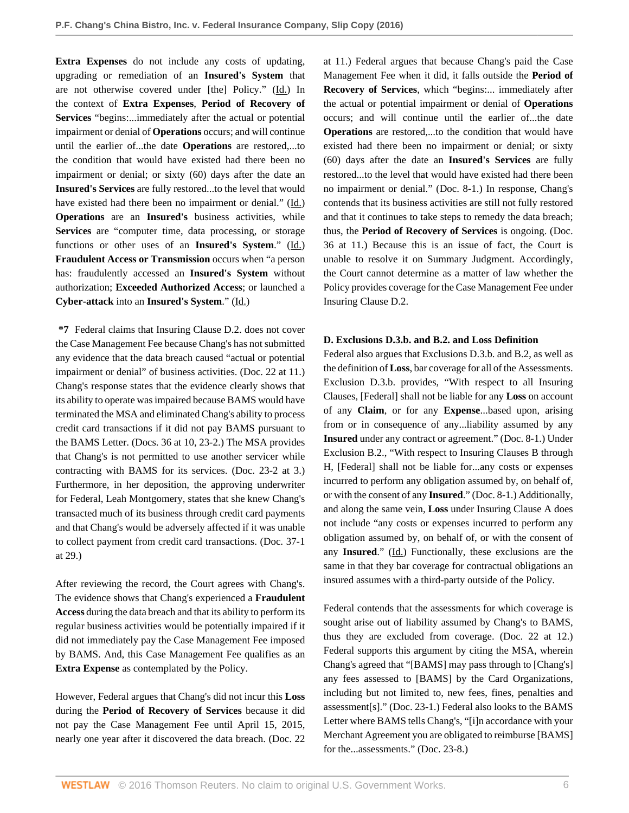**Extra Expenses** do not include any costs of updating, upgrading or remediation of an **Insured's System** that are not otherwise covered under [the] Policy." (Id.) In the context of **Extra Expenses**, **Period of Recovery of Services** "begins:...immediately after the actual or potential impairment or denial of **Operations** occurs; and will continue until the earlier of...the date **Operations** are restored,...to the condition that would have existed had there been no impairment or denial; or sixty (60) days after the date an **Insured's Services** are fully restored...to the level that would have existed had there been no impairment or denial." (Id.) **Operations** are an **Insured's** business activities, while **Services** are "computer time, data processing, or storage functions or other uses of an **Insured's System**." (Id.) **Fraudulent Access or Transmission** occurs when "a person has: fraudulently accessed an **Insured's System** without authorization; **Exceeded Authorized Access**; or launched a **Cyber-attack** into an **Insured's System**." (Id.)

**\*7** Federal claims that Insuring Clause D.2. does not cover the Case Management Fee because Chang's has not submitted any evidence that the data breach caused "actual or potential impairment or denial" of business activities. (Doc. 22 at 11.) Chang's response states that the evidence clearly shows that its ability to operate was impaired because BAMS would have terminated the MSA and eliminated Chang's ability to process credit card transactions if it did not pay BAMS pursuant to the BAMS Letter. (Docs. 36 at 10, 23-2.) The MSA provides that Chang's is not permitted to use another servicer while contracting with BAMS for its services. (Doc. 23-2 at 3.) Furthermore, in her deposition, the approving underwriter for Federal, Leah Montgomery, states that she knew Chang's transacted much of its business through credit card payments and that Chang's would be adversely affected if it was unable to collect payment from credit card transactions. (Doc. 37-1 at 29.)

After reviewing the record, the Court agrees with Chang's. The evidence shows that Chang's experienced a **Fraudulent Access** during the data breach and that its ability to perform its regular business activities would be potentially impaired if it did not immediately pay the Case Management Fee imposed by BAMS. And, this Case Management Fee qualifies as an **Extra Expense** as contemplated by the Policy.

However, Federal argues that Chang's did not incur this **Loss** during the **Period of Recovery of Services** because it did not pay the Case Management Fee until April 15, 2015, nearly one year after it discovered the data breach. (Doc. 22 at 11.) Federal argues that because Chang's paid the Case Management Fee when it did, it falls outside the **Period of Recovery of Services**, which "begins:... immediately after the actual or potential impairment or denial of **Operations** occurs; and will continue until the earlier of...the date **Operations** are restored,...to the condition that would have existed had there been no impairment or denial; or sixty (60) days after the date an **Insured's Services** are fully restored...to the level that would have existed had there been no impairment or denial." (Doc. 8-1.) In response, Chang's contends that its business activities are still not fully restored and that it continues to take steps to remedy the data breach; thus, the **Period of Recovery of Services** is ongoing. (Doc. 36 at 11.) Because this is an issue of fact, the Court is unable to resolve it on Summary Judgment. Accordingly, the Court cannot determine as a matter of law whether the Policy provides coverage for the Case Management Fee under Insuring Clause D.2.

## **D. Exclusions D.3.b. and B.2. and Loss Definition**

Federal also argues that Exclusions D.3.b. and B.2, as well as the definition of **Loss**, bar coverage for all of the Assessments. Exclusion D.3.b. provides, "With respect to all Insuring Clauses, [Federal] shall not be liable for any **Loss** on account of any **Claim**, or for any **Expense**...based upon, arising from or in consequence of any...liability assumed by any **Insured** under any contract or agreement." (Doc. 8-1.) Under Exclusion B.2., "With respect to Insuring Clauses B through H, [Federal] shall not be liable for...any costs or expenses incurred to perform any obligation assumed by, on behalf of, or with the consent of any **Insured**." (Doc. 8-1.) Additionally, and along the same vein, **Loss** under Insuring Clause A does not include "any costs or expenses incurred to perform any obligation assumed by, on behalf of, or with the consent of any Insured." (Id.) Functionally, these exclusions are the same in that they bar coverage for contractual obligations an insured assumes with a third-party outside of the Policy.

Federal contends that the assessments for which coverage is sought arise out of liability assumed by Chang's to BAMS, thus they are excluded from coverage. (Doc. 22 at 12.) Federal supports this argument by citing the MSA, wherein Chang's agreed that "[BAMS] may pass through to [Chang's] any fees assessed to [BAMS] by the Card Organizations, including but not limited to, new fees, fines, penalties and assessment[s]." (Doc. 23-1.) Federal also looks to the BAMS Letter where BAMS tells Chang's, "[i]n accordance with your Merchant Agreement you are obligated to reimburse [BAMS] for the...assessments." (Doc. 23-8.)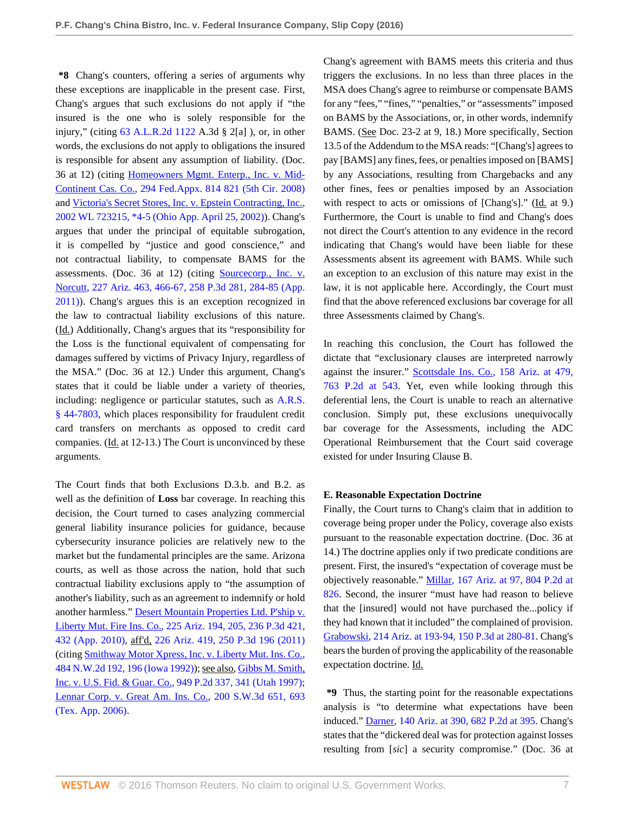**\*8** Chang's counters, offering a series of arguments why these exceptions are inapplicable in the present case. First, Chang's argues that such exclusions do not apply if "the insured is the one who is solely responsible for the injury," (citing [63 A.L.R.2d 1122](http://www.westlaw.com/Link/Document/FullText?findType=Y&serNum=1958012769&pubNum=0000107&originatingDoc=Ied4309a027bb11e687dda03c2315206d&refType=RP&originationContext=document&vr=3.0&rs=cblt1.0&transitionType=DocumentItem&contextData=(sc.History*oc.Search)) A.3d § 2[a] ), or, in other words, the exclusions do not apply to obligations the insured is responsible for absent any assumption of liability. (Doc. 36 at 12) (citing [Homeowners Mgmt. Enterp., Inc. v. Mid-](http://www.westlaw.com/Link/Document/FullText?findType=Y&serNum=2016921883&pubNum=0006538&originatingDoc=Ied4309a027bb11e687dda03c2315206d&refType=RP&fi=co_pp_sp_6538_821&originationContext=document&vr=3.0&rs=cblt1.0&transitionType=DocumentItem&contextData=(sc.History*oc.Search)#co_pp_sp_6538_821)[Continent Cas. Co., 294 Fed.Appx. 814 821 \(5th Cir. 2008\)](http://www.westlaw.com/Link/Document/FullText?findType=Y&serNum=2016921883&pubNum=0006538&originatingDoc=Ied4309a027bb11e687dda03c2315206d&refType=RP&fi=co_pp_sp_6538_821&originationContext=document&vr=3.0&rs=cblt1.0&transitionType=DocumentItem&contextData=(sc.History*oc.Search)#co_pp_sp_6538_821) and [Victoria's Secret Stores, Inc. v. Epstein Contracting, Inc.,](http://www.westlaw.com/Link/Document/FullText?findType=Y&serNum=2002261134&pubNum=0000999&originatingDoc=Ied4309a027bb11e687dda03c2315206d&refType=RP&originationContext=document&vr=3.0&rs=cblt1.0&transitionType=DocumentItem&contextData=(sc.History*oc.Search)) [2002 WL 723215, \\*4-5 \(Ohio App. April 25, 2002\)](http://www.westlaw.com/Link/Document/FullText?findType=Y&serNum=2002261134&pubNum=0000999&originatingDoc=Ied4309a027bb11e687dda03c2315206d&refType=RP&originationContext=document&vr=3.0&rs=cblt1.0&transitionType=DocumentItem&contextData=(sc.History*oc.Search))). Chang's argues that under the principal of equitable subrogation, it is compelled by "justice and good conscience," and not contractual liability, to compensate BAMS for the assessments. (Doc. 36 at 12) (citing [Sourcecorp., Inc. v.](http://www.westlaw.com/Link/Document/FullText?findType=Y&serNum=2025814482&pubNum=0004645&originatingDoc=Ied4309a027bb11e687dda03c2315206d&refType=RP&fi=co_pp_sp_4645_284&originationContext=document&vr=3.0&rs=cblt1.0&transitionType=DocumentItem&contextData=(sc.History*oc.Search)#co_pp_sp_4645_284) [Norcutt, 227 Ariz. 463, 466-67, 258 P.3d 281, 284-85 \(App.](http://www.westlaw.com/Link/Document/FullText?findType=Y&serNum=2025814482&pubNum=0004645&originatingDoc=Ied4309a027bb11e687dda03c2315206d&refType=RP&fi=co_pp_sp_4645_284&originationContext=document&vr=3.0&rs=cblt1.0&transitionType=DocumentItem&contextData=(sc.History*oc.Search)#co_pp_sp_4645_284) [2011\)](http://www.westlaw.com/Link/Document/FullText?findType=Y&serNum=2025814482&pubNum=0004645&originatingDoc=Ied4309a027bb11e687dda03c2315206d&refType=RP&fi=co_pp_sp_4645_284&originationContext=document&vr=3.0&rs=cblt1.0&transitionType=DocumentItem&contextData=(sc.History*oc.Search)#co_pp_sp_4645_284)). Chang's argues this is an exception recognized in the law to contractual liability exclusions of this nature. (Id.) Additionally, Chang's argues that its "responsibility for the Loss is the functional equivalent of compensating for damages suffered by victims of Privacy Injury, regardless of the MSA." (Doc. 36 at 12.) Under this argument, Chang's states that it could be liable under a variety of theories, including: negligence or particular statutes, such as [A.R.S.](http://www.westlaw.com/Link/Document/FullText?findType=L&pubNum=1000251&cite=AZSTS44-7803&originatingDoc=Ied4309a027bb11e687dda03c2315206d&refType=LQ&originationContext=document&vr=3.0&rs=cblt1.0&transitionType=DocumentItem&contextData=(sc.History*oc.Search)) [§ 44-7803,](http://www.westlaw.com/Link/Document/FullText?findType=L&pubNum=1000251&cite=AZSTS44-7803&originatingDoc=Ied4309a027bb11e687dda03c2315206d&refType=LQ&originationContext=document&vr=3.0&rs=cblt1.0&transitionType=DocumentItem&contextData=(sc.History*oc.Search)) which places responsibility for fraudulent credit card transfers on merchants as opposed to credit card companies. (Id. at 12-13.) The Court is unconvinced by these arguments.

The Court finds that both Exclusions D.3.b. and B.2. as well as the definition of **Loss** bar coverage. In reaching this decision, the Court turned to cases analyzing commercial general liability insurance policies for guidance, because cybersecurity insurance policies are relatively new to the market but the fundamental principles are the same. Arizona courts, as well as those across the nation, hold that such contractual liability exclusions apply to "the assumption of another's liability, such as an agreement to indemnify or hold another harmless." [Desert Mountain Properties Ltd. P'ship v.](http://www.westlaw.com/Link/Document/FullText?findType=Y&serNum=2022670421&pubNum=0004645&originatingDoc=Ied4309a027bb11e687dda03c2315206d&refType=RP&fi=co_pp_sp_4645_432&originationContext=document&vr=3.0&rs=cblt1.0&transitionType=DocumentItem&contextData=(sc.History*oc.Search)#co_pp_sp_4645_432) [Liberty Mut. Fire Ins. Co., 225 Ariz. 194, 205, 236 P.3d 421,](http://www.westlaw.com/Link/Document/FullText?findType=Y&serNum=2022670421&pubNum=0004645&originatingDoc=Ied4309a027bb11e687dda03c2315206d&refType=RP&fi=co_pp_sp_4645_432&originationContext=document&vr=3.0&rs=cblt1.0&transitionType=DocumentItem&contextData=(sc.History*oc.Search)#co_pp_sp_4645_432) [432 \(App. 2010\),](http://www.westlaw.com/Link/Document/FullText?findType=Y&serNum=2022670421&pubNum=0004645&originatingDoc=Ied4309a027bb11e687dda03c2315206d&refType=RP&fi=co_pp_sp_4645_432&originationContext=document&vr=3.0&rs=cblt1.0&transitionType=DocumentItem&contextData=(sc.History*oc.Search)#co_pp_sp_4645_432) aff'd, [226 Ariz. 419, 250 P.3d 196 \(2011\)](http://www.westlaw.com/Link/Document/FullText?findType=Y&serNum=2025270268&pubNum=0004645&originatingDoc=Ied4309a027bb11e687dda03c2315206d&refType=RP&originationContext=document&vr=3.0&rs=cblt1.0&transitionType=DocumentItem&contextData=(sc.History*oc.Search)) (citing [Smithway Motor Xpress, Inc. v. Liberty Mut. Ins. Co.,](http://www.westlaw.com/Link/Document/FullText?findType=Y&serNum=1992078225&pubNum=0000595&originatingDoc=Ied4309a027bb11e687dda03c2315206d&refType=RP&fi=co_pp_sp_595_196&originationContext=document&vr=3.0&rs=cblt1.0&transitionType=DocumentItem&contextData=(sc.History*oc.Search)#co_pp_sp_595_196) [484 N.W.2d 192, 196 \(Iowa 1992\)\)](http://www.westlaw.com/Link/Document/FullText?findType=Y&serNum=1992078225&pubNum=0000595&originatingDoc=Ied4309a027bb11e687dda03c2315206d&refType=RP&fi=co_pp_sp_595_196&originationContext=document&vr=3.0&rs=cblt1.0&transitionType=DocumentItem&contextData=(sc.History*oc.Search)#co_pp_sp_595_196); see also, [Gibbs M. Smith,](http://www.westlaw.com/Link/Document/FullText?findType=Y&serNum=1997235583&pubNum=0000661&originatingDoc=Ied4309a027bb11e687dda03c2315206d&refType=RP&fi=co_pp_sp_661_341&originationContext=document&vr=3.0&rs=cblt1.0&transitionType=DocumentItem&contextData=(sc.History*oc.Search)#co_pp_sp_661_341) [Inc. v. U.S. Fid. & Guar. Co., 949 P.2d 337, 341 \(Utah 1997\)](http://www.westlaw.com/Link/Document/FullText?findType=Y&serNum=1997235583&pubNum=0000661&originatingDoc=Ied4309a027bb11e687dda03c2315206d&refType=RP&fi=co_pp_sp_661_341&originationContext=document&vr=3.0&rs=cblt1.0&transitionType=DocumentItem&contextData=(sc.History*oc.Search)#co_pp_sp_661_341); [Lennar Corp. v. Great Am. Ins. Co., 200 S.W.3d 651, 693](http://www.westlaw.com/Link/Document/FullText?findType=Y&serNum=2008508304&pubNum=0004644&originatingDoc=Ied4309a027bb11e687dda03c2315206d&refType=RP&fi=co_pp_sp_4644_693&originationContext=document&vr=3.0&rs=cblt1.0&transitionType=DocumentItem&contextData=(sc.History*oc.Search)#co_pp_sp_4644_693) [\(Tex. App. 2006\)](http://www.westlaw.com/Link/Document/FullText?findType=Y&serNum=2008508304&pubNum=0004644&originatingDoc=Ied4309a027bb11e687dda03c2315206d&refType=RP&fi=co_pp_sp_4644_693&originationContext=document&vr=3.0&rs=cblt1.0&transitionType=DocumentItem&contextData=(sc.History*oc.Search)#co_pp_sp_4644_693).

Chang's agreement with BAMS meets this criteria and thus triggers the exclusions. In no less than three places in the MSA does Chang's agree to reimburse or compensate BAMS for any "fees," "fines," "penalties," or "assessments" imposed on BAMS by the Associations, or, in other words, indemnify BAMS. (See Doc. 23-2 at 9, 18.) More specifically, Section 13.5 of the Addendum to the MSA reads: "[Chang's] agrees to pay [BAMS] any fines, fees, or penalties imposed on [BAMS] by any Associations, resulting from Chargebacks and any other fines, fees or penalties imposed by an Association with respect to acts or omissions of [Chang's]." (Id. at 9.) Furthermore, the Court is unable to find and Chang's does not direct the Court's attention to any evidence in the record indicating that Chang's would have been liable for these Assessments absent its agreement with BAMS. While such an exception to an exclusion of this nature may exist in the law, it is not applicable here. Accordingly, the Court must find that the above referenced exclusions bar coverage for all three Assessments claimed by Chang's.

In reaching this conclusion, the Court has followed the dictate that "exclusionary clauses are interpreted narrowly against the insurer." [Scottsdale Ins. Co., 158 Ariz. at 479,](http://www.westlaw.com/Link/Document/FullText?findType=Y&serNum=1988087238&pubNum=0000661&originatingDoc=Ied4309a027bb11e687dda03c2315206d&refType=RP&fi=co_pp_sp_661_543&originationContext=document&vr=3.0&rs=cblt1.0&transitionType=DocumentItem&contextData=(sc.History*oc.Search)#co_pp_sp_661_543) [763 P.2d at 543](http://www.westlaw.com/Link/Document/FullText?findType=Y&serNum=1988087238&pubNum=0000661&originatingDoc=Ied4309a027bb11e687dda03c2315206d&refType=RP&fi=co_pp_sp_661_543&originationContext=document&vr=3.0&rs=cblt1.0&transitionType=DocumentItem&contextData=(sc.History*oc.Search)#co_pp_sp_661_543). Yet, even while looking through this deferential lens, the Court is unable to reach an alternative conclusion. Simply put, these exclusions unequivocally bar coverage for the Assessments, including the ADC Operational Reimbursement that the Court said coverage existed for under Insuring Clause B.

#### **E. Reasonable Expectation Doctrine**

Finally, the Court turns to Chang's claim that in addition to coverage being proper under the Policy, coverage also exists pursuant to the reasonable expectation doctrine. (Doc. 36 at 14.) The doctrine applies only if two predicate conditions are present. First, the insured's "expectation of coverage must be objectively reasonable." [Millar, 167 Ariz. at 97, 804 P.2d at](http://www.westlaw.com/Link/Document/FullText?findType=Y&serNum=1990140025&pubNum=0000661&originatingDoc=Ied4309a027bb11e687dda03c2315206d&refType=RP&fi=co_pp_sp_661_826&originationContext=document&vr=3.0&rs=cblt1.0&transitionType=DocumentItem&contextData=(sc.History*oc.Search)#co_pp_sp_661_826) [826](http://www.westlaw.com/Link/Document/FullText?findType=Y&serNum=1990140025&pubNum=0000661&originatingDoc=Ied4309a027bb11e687dda03c2315206d&refType=RP&fi=co_pp_sp_661_826&originationContext=document&vr=3.0&rs=cblt1.0&transitionType=DocumentItem&contextData=(sc.History*oc.Search)#co_pp_sp_661_826). Second, the insurer "must have had reason to believe that the [insured] would not have purchased the...policy if they had known that it included" the complained of provision. [Grabowski, 214 Ariz. at 193-94, 150 P.3d at 280-81](http://www.westlaw.com/Link/Document/FullText?findType=Y&serNum=2011340583&pubNum=0004645&originatingDoc=Ied4309a027bb11e687dda03c2315206d&refType=RP&fi=co_pp_sp_4645_280&originationContext=document&vr=3.0&rs=cblt1.0&transitionType=DocumentItem&contextData=(sc.History*oc.Search)#co_pp_sp_4645_280). Chang's bears the burden of proving the applicability of the reasonable expectation doctrine. Id.

**\*9** Thus, the starting point for the reasonable expectations analysis is "to determine what expectations have been induced." [Darner, 140 Ariz. at 390, 682 P.2d at 395](http://www.westlaw.com/Link/Document/FullText?findType=Y&serNum=1984125781&pubNum=0000661&originatingDoc=Ied4309a027bb11e687dda03c2315206d&refType=RP&fi=co_pp_sp_661_395&originationContext=document&vr=3.0&rs=cblt1.0&transitionType=DocumentItem&contextData=(sc.History*oc.Search)#co_pp_sp_661_395). Chang's states that the "dickered deal was for protection against losses resulting from [*sic*] a security compromise." (Doc. 36 at